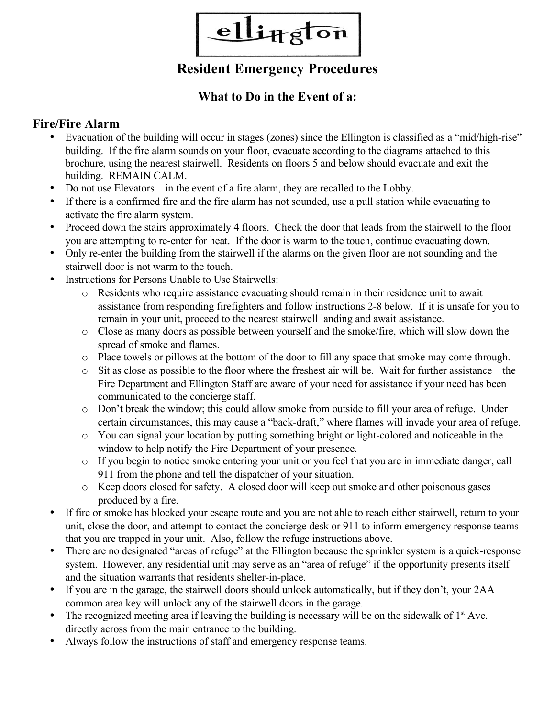

# **Resident Emergency Procedures**

### **What to Do in the Event of a:**

### **Fire/Fire Alarm**

- Evacuation of the building will occur in stages (zones) since the Ellington is classified as a "mid/high-rise" building. If the fire alarm sounds on your floor, evacuate according to the diagrams attached to this brochure, using the nearest stairwell. Residents on floors 5 and below should evacuate and exit the building. REMAIN CALM.
- Do not use Elevators—in the event of a fire alarm, they are recalled to the Lobby.
- If there is a confirmed fire and the fire alarm has not sounded, use a pull station while evacuating to activate the fire alarm system.
- Proceed down the stairs approximately 4 floors. Check the door that leads from the stairwell to the floor you are attempting to re-enter for heat. If the door is warm to the touch, continue evacuating down.
- Only re-enter the building from the stairwell if the alarms on the given floor are not sounding and the stairwell door is not warm to the touch.
- Instructions for Persons Unable to Use Stairwells:
	- o Residents who require assistance evacuating should remain in their residence unit to await assistance from responding firefighters and follow instructions 2-8 below. If it is unsafe for you to remain in your unit, proceed to the nearest stairwell landing and await assistance.
	- o Close as many doors as possible between yourself and the smoke/fire, which will slow down the spread of smoke and flames.
	- o Place towels or pillows at the bottom of the door to fill any space that smoke may come through.
	- o Sit as close as possible to the floor where the freshest air will be. Wait for further assistance—the Fire Department and Ellington Staff are aware of your need for assistance if your need has been communicated to the concierge staff.
	- o Don't break the window; this could allow smoke from outside to fill your area of refuge. Under certain circumstances, this may cause a "back-draft," where flames will invade your area of refuge.
	- o You can signal your location by putting something bright or light-colored and noticeable in the window to help notify the Fire Department of your presence.
	- o If you begin to notice smoke entering your unit or you feel that you are in immediate danger, call 911 from the phone and tell the dispatcher of your situation.
	- o Keep doors closed for safety. A closed door will keep out smoke and other poisonous gases produced by a fire.
- If fire or smoke has blocked your escape route and you are not able to reach either stairwell, return to your unit, close the door, and attempt to contact the concierge desk or 911 to inform emergency response teams that you are trapped in your unit. Also, follow the refuge instructions above.
- There are no designated "areas of refuge" at the Ellington because the sprinkler system is a quick-response system. However, any residential unit may serve as an "area of refuge" if the opportunity presents itself and the situation warrants that residents shelter-in-place.
- If you are in the garage, the stairwell doors should unlock automatically, but if they don't, your 2AA common area key will unlock any of the stairwell doors in the garage.
- The recognized meeting area if leaving the building is necessary will be on the sidewalk of  $1<sup>st</sup>$  Ave. directly across from the main entrance to the building.
- Always follow the instructions of staff and emergency response teams.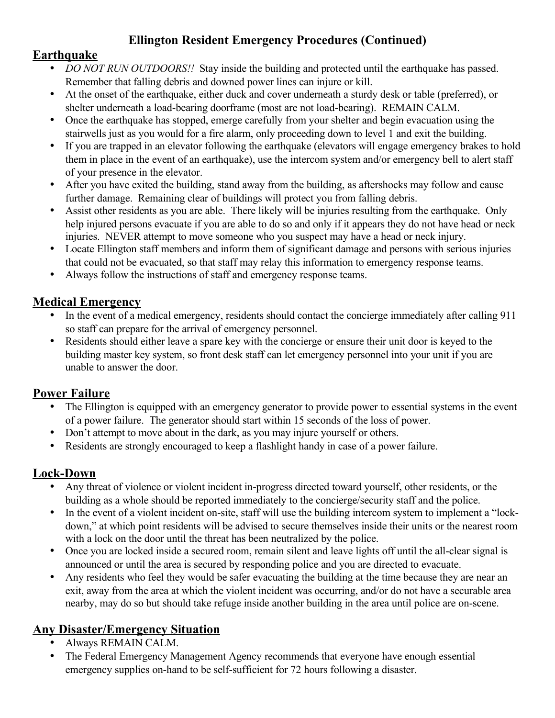## **Ellington Resident Emergency Procedures (Continued)**

#### **Earthquake**

- *DO NOT RUN OUTDOORS!!* Stay inside the building and protected until the earthquake has passed. Remember that falling debris and downed power lines can injure or kill.
- At the onset of the earthquake, either duck and cover underneath a sturdy desk or table (preferred), or shelter underneath a load-bearing doorframe (most are not load-bearing). REMAIN CALM.
- Once the earthquake has stopped, emerge carefully from your shelter and begin evacuation using the stairwells just as you would for a fire alarm, only proceeding down to level 1 and exit the building.
- If you are trapped in an elevator following the earthquake (elevators will engage emergency brakes to hold them in place in the event of an earthquake), use the intercom system and/or emergency bell to alert staff of your presence in the elevator.
- After you have exited the building, stand away from the building, as aftershocks may follow and cause further damage. Remaining clear of buildings will protect you from falling debris.
- Assist other residents as you are able. There likely will be injuries resulting from the earthquake. Only help injured persons evacuate if you are able to do so and only if it appears they do not have head or neck injuries. NEVER attempt to move someone who you suspect may have a head or neck injury.
- Locate Ellington staff members and inform them of significant damage and persons with serious injuries that could not be evacuated, so that staff may relay this information to emergency response teams.
- Always follow the instructions of staff and emergency response teams.

#### **Medical Emergency**

- In the event of a medical emergency, residents should contact the concierge immediately after calling 911 so staff can prepare for the arrival of emergency personnel.
- Residents should either leave a spare key with the concierge or ensure their unit door is keyed to the building master key system, so front desk staff can let emergency personnel into your unit if you are unable to answer the door.

## **Power Failure**

- The Ellington is equipped with an emergency generator to provide power to essential systems in the event of a power failure. The generator should start within 15 seconds of the loss of power.
- Don<sup>7</sup>t attempt to move about in the dark, as you may injure yourself or others.
- Residents are strongly encouraged to keep a flashlight handy in case of a power failure.

## **Lock-Down**

- Any threat of violence or violent incident in-progress directed toward yourself, other residents, or the building as a whole should be reported immediately to the concierge/security staff and the police.
- In the event of a violent incident on-site, staff will use the building intercom system to implement a "lockdown," at which point residents will be advised to secure themselves inside their units or the nearest room with a lock on the door until the threat has been neutralized by the police.
- Once you are locked inside a secured room, remain silent and leave lights off until the all-clear signal is announced or until the area is secured by responding police and you are directed to evacuate.
- Any residents who feel they would be safer evacuating the building at the time because they are near an exit, away from the area at which the violent incident was occurring, and/or do not have a securable area nearby, may do so but should take refuge inside another building in the area until police are on-scene.

## **Any Disaster/Emergency Situation**

- Always REMAIN CALM.
- The Federal Emergency Management Agency recommends that everyone have enough essential emergency supplies on-hand to be self-sufficient for 72 hours following a disaster.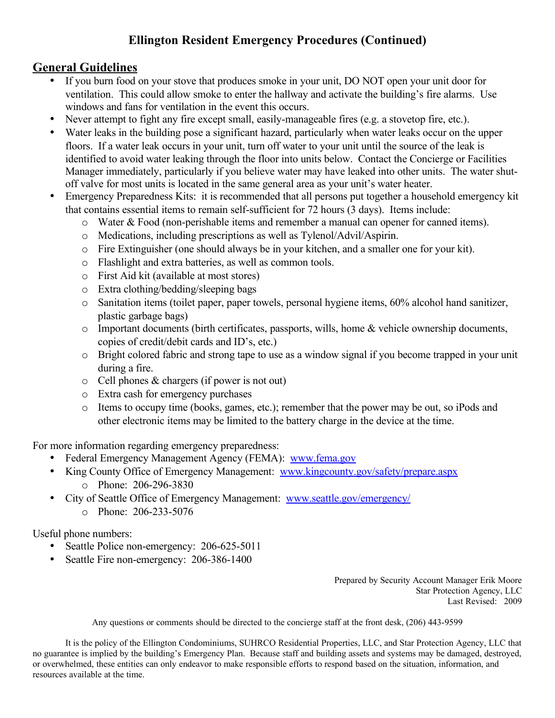## **Ellington Resident Emergency Procedures (Continued)**

### **General Guidelines**

- If you burn food on your stove that produces smoke in your unit, DO NOT open your unit door for ventilation. This could allow smoke to enter the hallway and activate the building's fire alarms. Use windows and fans for ventilation in the event this occurs.
- Never attempt to fight any fire except small, easily-manageable fires (e.g. a stovetop fire, etc.).
- Water leaks in the building pose a significant hazard, particularly when water leaks occur on the upper floors. If a water leak occurs in your unit, turn off water to your unit until the source of the leak is identified to avoid water leaking through the floor into units below. Contact the Concierge or Facilities Manager immediately, particularly if you believe water may have leaked into other units. The water shutoff valve for most units is located in the same general area as your unit's water heater.
- Emergency Preparedness Kits: it is recommended that all persons put together a household emergency kit that contains essential items to remain self-sufficient for 72 hours (3 days). Items include:
	- o Water & Food (non-perishable items and remember a manual can opener for canned items).
	- o Medications, including prescriptions as well as Tylenol/Advil/Aspirin.
	- o Fire Extinguisher (one should always be in your kitchen, and a smaller one for your kit).
	- o Flashlight and extra batteries, as well as common tools.
	- o First Aid kit (available at most stores)
	- o Extra clothing/bedding/sleeping bags
	- o Sanitation items (toilet paper, paper towels, personal hygiene items, 60% alcohol hand sanitizer, plastic garbage bags)
	- o Important documents (birth certificates, passports, wills, home & vehicle ownership documents, copies of credit/debit cards and ID's, etc.)
	- o Bright colored fabric and strong tape to use as a window signal if you become trapped in your unit during a fire.
	- o Cell phones & chargers (if power is not out)
	- o Extra cash for emergency purchases
	- o Items to occupy time (books, games, etc.); remember that the power may be out, so iPods and other electronic items may be limited to the battery charge in the device at the time.

For more information regarding emergency preparedness:

- Federal Emergency Management Agency (FEMA): [www.fema.gov](http://www.fema.gov/)
- King County Office of Emergency Management: [www.kingcounty.gov/safety/prepare.aspx](http://www.kingcounty.gov/safety/prepare.aspx)
	- o Phone: 206-296-3830
- City of Seattle Office of Emergency Management: [www.seattle.gov/emergency/](http://www.seattle.gov/emergency/)
	- o Phone: 206-233-5076

Useful phone numbers:

- Seattle Police non-emergency: 206-625-5011
- Seattle Fire non-emergency: 206-386-1400

Prepared by Security Account Manager Erik Moore Star Protection Agency, LLC Last Revised: 2009

Any questions or comments should be directed to the concierge staff at the front desk, (206) 443-9599

It is the policy of the Ellington Condominiums, SUHRCO Residential Properties, LLC, and Star Protection Agency, LLC that no guarantee is implied by the building's Emergency Plan. Because staff and building assets and systems may be damaged, destroyed, or overwhelmed, these entities can only endeavor to make responsible efforts to respond based on the situation, information, and resources available at the time.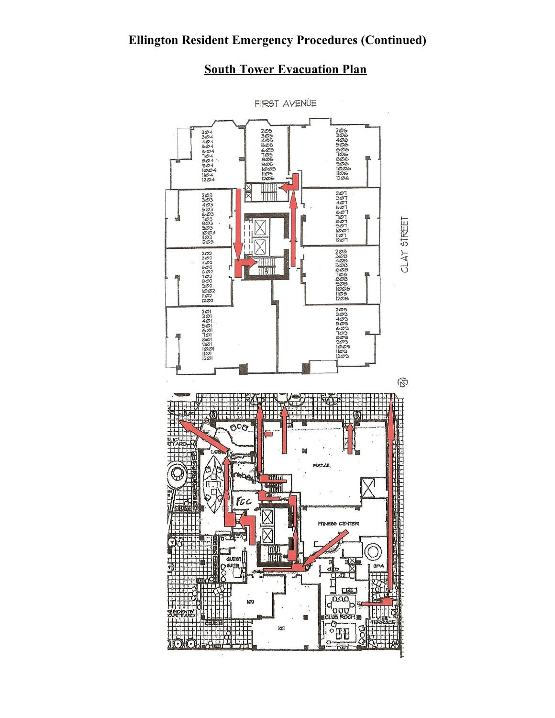## **South Tower Evacuation Plan**